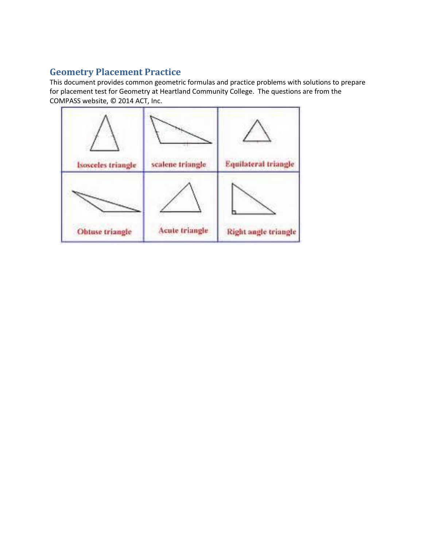#### **Geometry Placement Practice**

This document provides common geometric formulas and practice problems with solutions to prepare for placement test for Geometry at Heartland Community College. The questions are from the COMPASS website, © 2014 ACT, Inc.

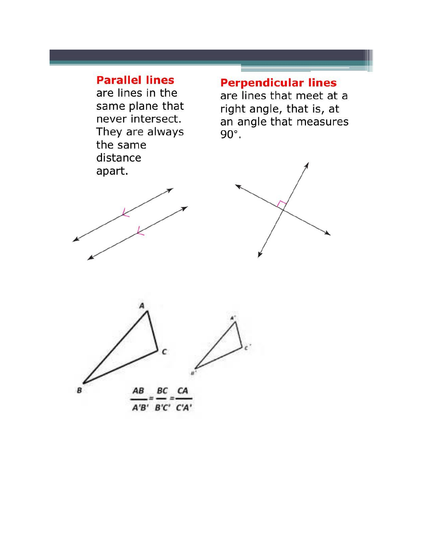### **Parallel lines**

are lines in the same plane that never intersect. They are always the same distance apart.

# **Perpendicular lines**

are lines that meet at a right angle, that is, at an angle that measures  $90^\circ$ .







A'B' B'C' C'A'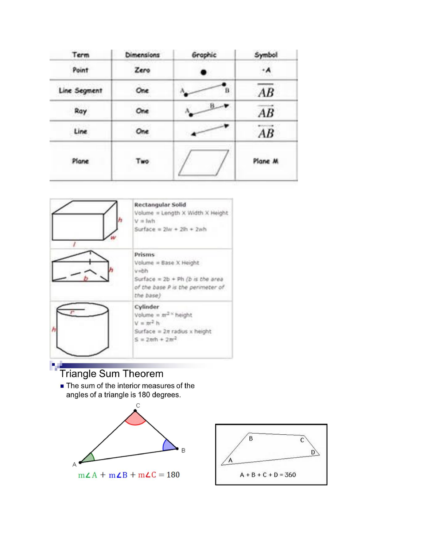| Term         | Dimensions | Graphic         | Symbol  |
|--------------|------------|-----------------|---------|
| Point        | Zero       |                 | ۰A      |
| Line Segment | One        | в               | AB      |
| Ray          | One        | $B \rightarrow$ | AB      |
| Line         | One        |                 | AB      |
| Plane        | Two        |                 | Plane M |



## **Triangle Sum Theorem**

The sum of the interior measures of the angles of a triangle is 180 degrees.



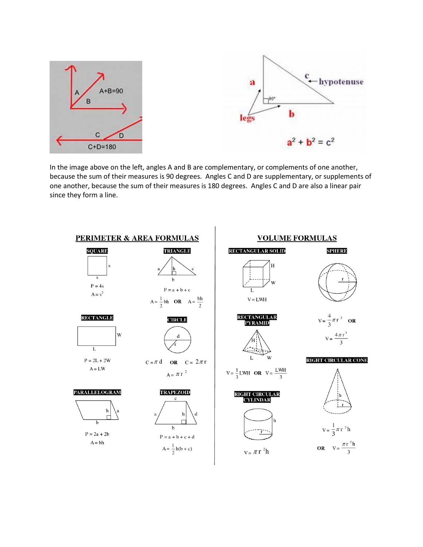

In the image above on the left, angles A and B are complementary, or complements of one another, because the sum of their measures is 90 degrees. Angles C and D are supplementary, or supplements of one another, because the sum of their measures is 180 degrees. Angles C and D are also a linear pair since they form a line.

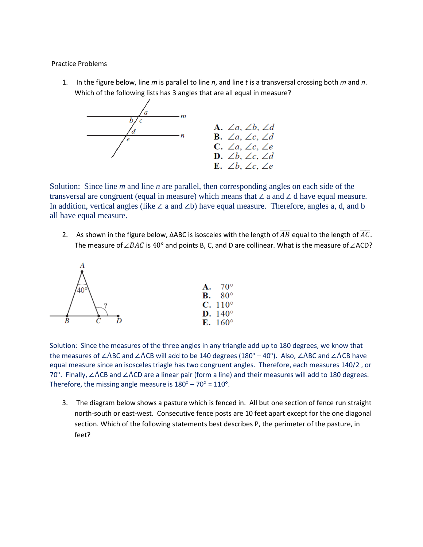Practice Problems

1. In the figure below, line *m* is parallel to line *n*, and line *t* is a transversal crossing both *m* and *n*. Which of the following lists has 3 angles that are all equal in measure?



Solution: Since line *m* and line *n* are parallel, then corresponding angles on each side of the transversal are congruent (equal in measure) which means that ∠ a and ∠ d have equal measure. In addition, vertical angles (like ∠ a and ∠b) have equal measure. Therefore, angles a, d, and b all have equal measure.

2. As shown in the figure below, ΔABC is isosceles with the length of  $\overline{AB}$  equal to the length of  $\overline{AC}$ . The measure of  $\angle BAC$  is 40° and points B, C, and D are collinear. What is the measure of  $\angle$ ACD?



Solution: Since the measures of the three angles in any triangle add up to 180 degrees, we know that the measures of ∠ABC and ∠ACB will add to be 140 degrees (180° – 40°). Also, ∠ABC and ∠ACB have equal measure since an isosceles triagle has two congruent angles. Therefore, each measures 140/2 , or 70°. Finally, ∠ACB and ∠ACD are a linear pair (form a line) and their measures will add to 180 degrees. Therefore, the missing angle measure is  $180^\circ - 70^\circ = 110^\circ$ .

3. The diagram below shows a pasture which is fenced in. All but one section of fence run straight north-south or east-west. Consecutive fence posts are 10 feet apart except for the one diagonal section. Which of the following statements best describes P, the perimeter of the pasture, in feet?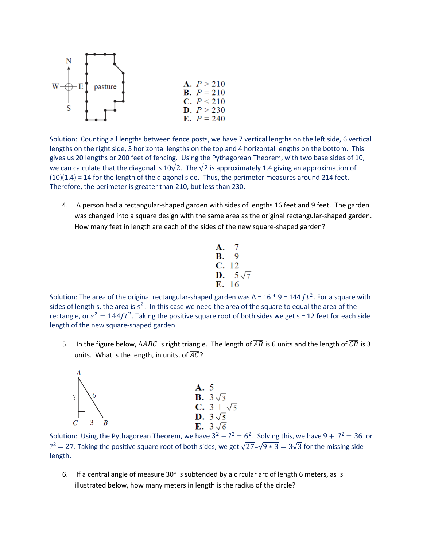

Solution: Counting all lengths between fence posts, we have 7 vertical lengths on the left side, 6 vertical lengths on the right side, 3 horizontal lengths on the top and 4 horizontal lengths on the bottom. This gives us 20 lengths or 200 feet of fencing. Using the Pythagorean Theorem, with two base sides of 10, we can calculate that the diagonal is 10 $\sqrt{2}$ . The  $\sqrt{2}$  is approximately 1.4 giving an approximation of  $(10)(1.4) = 14$  for the length of the diagonal side. Thus, the perimeter measures around 214 feet. Therefore, the perimeter is greater than 210, but less than 230.

4. A person had a rectangular-shaped garden with sides of lengths 16 feet and 9 feet. The garden was changed into a square design with the same area as the original rectangular-shaped garden. How many feet in length are each of the sides of the new square-shaped garden?

**A.** 7  
**B.** 9  
**C.** 12  
**D.** 
$$
5\sqrt{7}
$$
  
**E.** 16

Solution: The area of the original rectangular-shaped garden was A = 16  $*$  9 = 144  $ft^2$ . For a square with sides of length s, the area is  $s^2$ . In this case we need the area of the square to equal the area of the rectangle, or  $s^2 = 144 ft^2$ . Taking the positive square root of both sides we get s = 12 feet for each side length of the new square-shaped garden.

5. In the figure below,  $\triangle ABC$  is right triangle. The length of  $\overline{AB}$  is 6 units and the length of  $\overline{CB}$  is 3 units. What is the length, in units, of  $\overline{AC}$ ?



Solution: Using the Pythagorean Theorem, we have  $3^2 + ?^2 = 6^2$ . Solving this, we have  $9 + ?^2 = 36$  or  $f^2 = 27$ . Taking the positive square root of both sides, we get  $\sqrt{27}$ = $\sqrt{9*3} = 3\sqrt{3}$  for the missing side length.

6. If a central angle of measure  $30^\circ$  is subtended by a circular arc of length 6 meters, as is illustrated below, how many meters in length is the radius of the circle?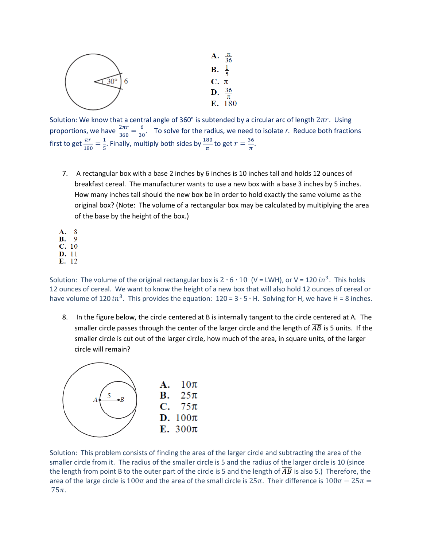

Solution: We know that a central angle of 360° is subtended by a circular arc of length  $2\pi r$ . Using proportions, we have  $\frac{2\pi r}{360} = \frac{6}{36}$  $\frac{0}{30}$ . To solve for the radius, we need to isolate *r*. Reduce both fractions first to get  $\frac{\pi r}{180} = \frac{1}{5}$  $\frac{1}{5}$ . Finally, multiply both sides by  $\frac{180}{\pi}$  to get  $r = \frac{36}{\pi}$  $\frac{\pi}{\pi}$ .

7. A rectangular box with a base 2 inches by 6 inches is 10 inches tall and holds 12 ounces of breakfast cereal. The manufacturer wants to use a new box with a base 3 inches by 5 inches. How many inches tall should the new box be in order to hold exactly the same volume as the original box? (Note: The volume of a rectangular box may be calculated by multiplying the area of the base by the height of the box.)

A. 8 **B.** 9  $C. 10$ D. 11 E. 12

Solution: The volume of the original rectangular box is  $2 \cdot 6 \cdot 10$  (V = LWH), or V = 120  $in^3$ . This holds 12 ounces of cereal. We want to know the height of a new box that will also hold 12 ounces of cereal or have volume of 120  $in^3$ . This provides the equation: 120 = 3 ⋅ 5 ⋅ H. Solving for H, we have H = 8 inches.

8. In the figure below, the circle centered at B is internally tangent to the circle centered at A. The smaller circle passes through the center of the larger circle and the length of  $\overline{AB}$  is 5 units. If the smaller circle is cut out of the larger circle, how much of the area, in square units, of the larger circle will remain?



Solution: This problem consists of finding the area of the larger circle and subtracting the area of the smaller circle from it. The radius of the smaller circle is 5 and the radius of the larger circle is 10 (since the length from point B to the outer part of the circle is 5 and the length of  $\overline{AB}$  is also 5.) Therefore, the area of the large circle is 100 $\pi$  and the area of the small circle is 25 $\pi$ . Their difference is 100 $\pi - 25\pi =$  $75\pi$ .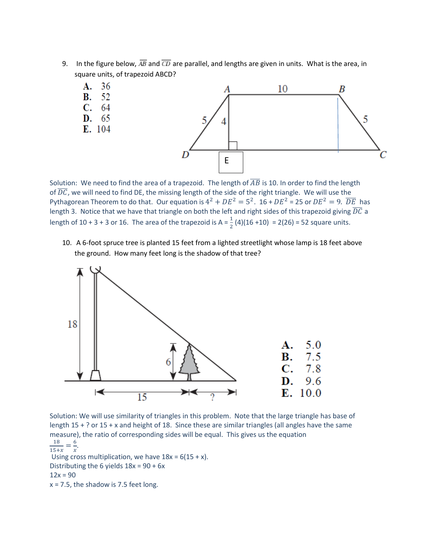9. In the figure below,  $\overline{AB}$  and  $\overline{CD}$  are parallel, and lengths are given in units. What is the area, in square units, of trapezoid ABCD?



Solution: We need to find the area of a trapezoid. The length of  $\overline{AB}$  is 10. In order to find the length of  $\overline{DC}$ , we will need to find DE, the missing length of the side of the right triangle. We will use the Pythagorean Theorem to do that. Our equation is  $4^2 + DE^2 = 5^2$ . 16 +  $DE^2 = 25$  or  $DE^2 = 9$ .  $\overline{DE}$  has length 3. Notice that we have that triangle on both the left and right sides of this trapezoid giving  $\overline{DC}$  a length of 10 + 3 + 3 or 16. The area of the trapezoid is A =  $\frac{1}{2}$  (4)(16 +10) = 2(26) = 52 square units.

10. A 6-foot spruce tree is planted 15 feet from a lighted streetlight whose lamp is 18 feet above the ground. How many feet long is the shadow of that tree?



Solution: We will use similarity of triangles in this problem. Note that the large triangle has base of length 15 + ? or 15 + x and height of 18. Since these are similar triangles (all angles have the same measure), the ratio of corresponding sides will be equal. This gives us the equation 18  $=\frac{6}{1}$  $\frac{0}{x}$ .

 $\frac{1}{15+x}$ 

Using cross multiplication, we have  $18x = 6(15 + x)$ . Distributing the 6 yields 18x = 90 + 6x

 $12x = 90$ 

 $x = 7.5$ , the shadow is 7.5 feet long.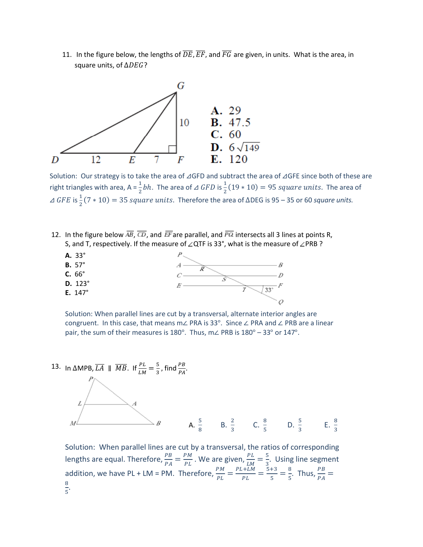11. In the figure below, the lengths of  $\overline{DE}$ ,  $\overline{EF}$ , and  $\overline{FG}$  are given, in units. What is the area, in square units, of  $\triangle DEG$ ?



Solution: Our strategy is to take the area of ⊿GFD and subtract the area of ⊿GFE since both of these are right triangles with area, A =  $\frac{1}{2}bh$ . The area of  $\triangle$  GFD is  $\frac{1}{2}(19 * 10) = 95$  square units. The area of  $\triangle$  GFE is  $\frac{1}{2}$ (7 ∗ 10) = 35 *square units*. Therefore the area of ΔDEG is 95 – 35 or 60 *square units.* 

12. In the figure below  $\overline{AB}$ ,  $\overline{CD}$ , and  $\overline{EF}$  are parallel, and  $\overline{PQ}$  intersects all 3 lines at points R, S, and T, respectively. If the measure of  $\angle$ QTF is 33°, what is the measure of  $\angle$ PRB ?



Solution: When parallel lines are cut by a transversal, alternate interior angles are congruent. In this case, that means m∠ PRA is 33°. Since ∠ PRA and ∠ PRB are a linear pair, the sum of their measures is 180°. Thus, m∠ PRB is 180° – 33° or 147°.



Solution: When parallel lines are cut by a transversal, the ratios of corresponding lengths are equal. Therefore,  $\frac{PB}{PA} = \frac{PM}{PL}$  $\frac{PM}{PL}$  . We are given,  $\frac{PL}{LM} = \frac{5}{3}$  $\frac{3}{3}$ . Using line segment addition, we have PL + LM = PM. Therefore,  $\frac{PM}{PL} = \frac{PL+LM}{PL}$  $\frac{1+LM}{PL} = \frac{5+3}{5}$  $\frac{+3}{5} = \frac{8}{5}$  $rac{8}{5}$ . Thus,  $rac{PB}{PA}$  = 8  $\frac{6}{5}$ .